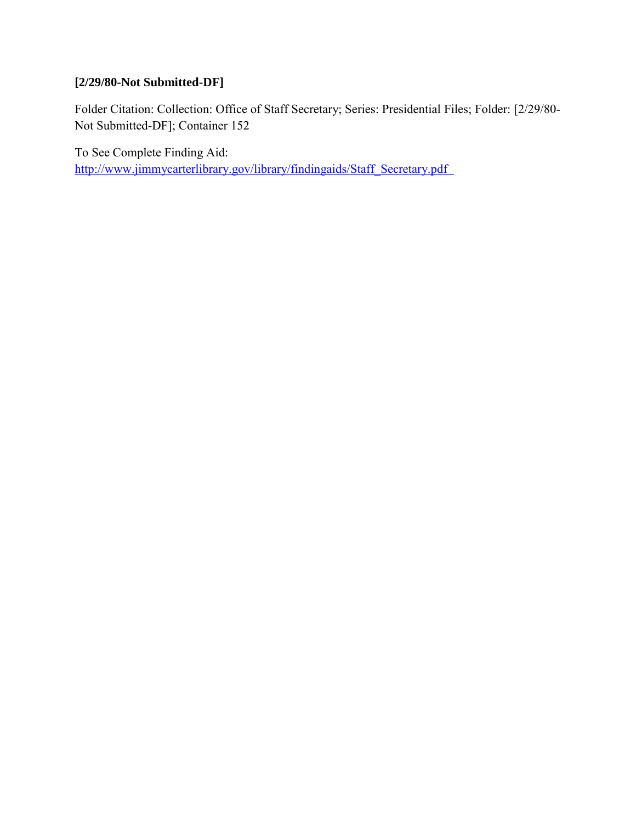# **[2/29/80-Not Submitted-DF]**

Folder Citation: Collection: Office of Staff Secretary; Series: Presidential Files; Folder: [2/29/80- Not Submitted-DF]; Container 152

To See Complete Finding Aid: [http://www.jimmycarterlibrary.gov/library/findingaids/Staff\\_Secretary.pdf](http://www.jimmycarterlibrary.gov/library/findingaids/Staff_Secretary.pdf)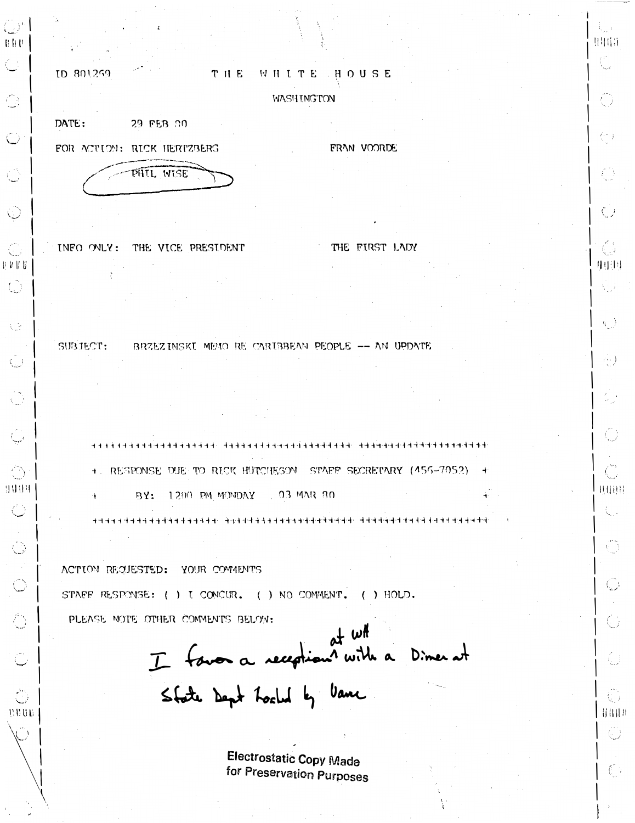| ID 801259 |  |
|-----------|--|
|           |  |

 $\bigodot^{\mathbb{P}}_{\mathbb{F}_p}$ 

 $\circ$   $\vdash$ 

 $\cup$   $\mid$ 

 $\mathcal{L}^{\prime}$ 

 $_\odot$   $\,\mid$  $\vert \vert \vert \vert \vert$  if if

 $\mathbb{C}$ 

'·---

Q.

 $\setminus$   $\overline{\phantom{a}}$ 

: ]

1

 $\mathsf{I}$ 

 $\mathsf{I}$ 

I

 $\mathsf{I}$  $\lvert \cdot \rvert$ I

> $\overline{\phantom{0}}$  $\overline{\phantom{0}}$  $\mathsf I$

> > $\overline{\phantom{0}}$  $\mathsf I$

> > > $\mathsf I$

 $\vert$ 

 $\mathbf{r}$ 

I

 $\overline{\phantom{a}}$ 

 $\circledcirc$   $\cdot$   $\cdot$ 

 $\bigcup_{i=1}^n$ 

 $\mathcal{L}_{\mathcal{L}}$ 

 $.096$   $%$ 

 $\circ$  |

 $\sim 1$ 

 $\subset$   $\mathsf{l}$ 

:J\1\111 I

,  $\circlearrowright$  i

 $\overline{\mathbb{C}}$ 

# THE WHITE HOUSE

## WASH INGTON

DATE: 29 FEB 80

FOR ACTION: RICK HERTZBERG FRAN VOORDE

...

I

 $\mathbf{I}$  $\mathbf{I}$ 

 $\mathbf{I}$ 

 $\mathsf I$  $\mathsf I$  $\mathbf{I}$  $\mathsf I$ 

 $\mid \ \ \text{\tiny{C}}$  ,

 $\vert \cdot \vert_{\alpha}$ 

 $\mathbf{I}$  $\mathbf{I}$  $\mathbf{I}$ 

> $\overline{\phantom{a}}$  $\mathbf{I}$  $\overline{\phantom{a}}$

 $\mathbf{I}$ 

 $\mathbf{I}$ 

 $\overline{\phantom{a}}$ 

 $\mathsf{l}$ 

 $\mathbf{I}$  $\mathsf I$ 

|  $\subset$ 

 $\Gamma_{\rm c}$ 

 $\mathsf{I}$  $\mathbf{I}$ 

 $\overline{\phantom{a}}$  $\mathsf{I}$ 

 $\frac{1}{11}$ 

 $\mathbb{C}$ 

 $\mathbf{I}$  $\mathbf{I}$  $\mathbf{I}$  $\mathbf{I}$ 

Ill II iiil

lll!l'l:\_j I .

I <sup>i</sup>

G.

 $\lfloor\frac{\chi_{\rm{eff}}}{\gamma_{\rm{eff}}}\rfloor$ | <sup>111111</sup><br>| <sub>-77</sub>

 $PHTL$  WISE

INFO ONLY: THE VICE PRESIDENT THE FIRST LADY

SUBJECT:

BRZEZINSKI MEMO RE CARIBBEAN PEOPLE -- AN UPDATE

में कम के कप से कप से पे पी के पी के पी के से भी जाने के से में पी से पी की पी की पी की पी की पी की पी की पी की पी क<br>में कम के कप से कप से पी पी की पी की कप रेंग के पी की पी की से से पी की पी की पी की से से पी की पी की पी RESPONSE DUE TO RICK HUTCHESON STAFF SECRETARY (456-7052)  $\rightarrow$ 

भूग कुल कुल कुल कुल कुल कुल कुल कुल - में कुल कुल कुल कुल कुल कुल कुल कुल कुल - जे कुल कुल कुल कुल कुल कुल कुल क

BY: 1200 PM MONDAY : 03 MAR 80

ACTION REQUESTED: YOUR COMMENTS STAFF RESENNSE: ( ) I CONCUR. ( ) NO COMMENT. ( ) HOLD. PLEASE NOTE OTHER COMMENTS BELOW:

 $\alpha t$  with I favor a reception with a Dimer at State Dept Locked by Vanc

Electrostatic Copy Made for Preservation Purposes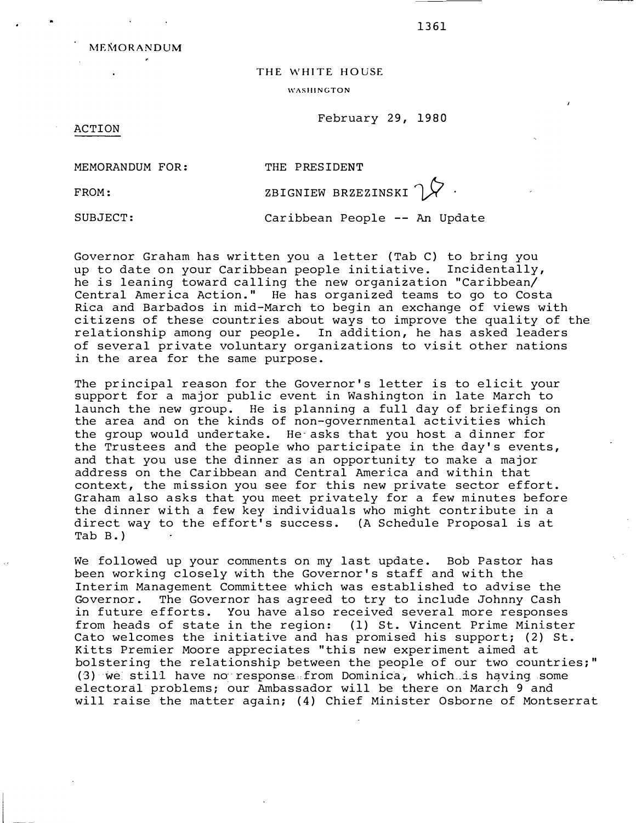MEi\10RANDUM

MEMORANDUM FOR:

THE WHITE HOUSE

WASHINGTON

February 29, 1980

ACTION

THE PRESIDENT

FROM:

ZBIGNIEW BRZEZINSKI  $\gamma$ 

SUBJECT:

Caribbean People -- An Update

Governor Graham has written you a letter {Tab C) to bring you up to date on your Caribbean people initiative. Incidentally, he is leaning toward calling the new organization "Caribbean/ Central America Action." He has organized teams to go to Costa Rica and Barbados in mid-March to begin an exchange of views with citizens of these countries about ways to improve the quality of the relationship among our people. In addition, he has asked leaders of several private voluntary organizations to visit other nations in the area for the same purpose.

The principal reason for the Governor's letter is to elicit your support for a major public event in Washington in late March to launch the new group. He is planning a full day of briefings on the area and on the kinds of non-governmental activities which the group would undertake. He asks that you host a dinner for the Trustees and the people who participate in the day's events, and that you use the dinner as an opportunity to make a major address on the Caribbean and Central America and within that context, the mission you see for this new private sector effort. Graham also asks that you meet privately for a few minutes before the dinner with a few key individuals who might contribute in a direct way to the effort's success. (A Schedule Proposal is at Tab B.)

We followed up your comments on my last update. Bob Pastor has been working closely with the Governor's staff and with the Interim Management Committee which was established to advise the Governor. The Governor has agreed to try to include Johnny Cash in future efforts. You have also received several more responses from heads of state in the region: {1} St. Vincent Prime Minister Cato welcomes the initiative and has promised his support; {2} St. Kitts Premier Moore appreciates "this new experiment aimed at bolstering the relationship between the people of our two countries;"  $(3)$  we still have no response from Dominica, which is having some electoral problems; our Ambassador will be there on March 9 and will raise the matter again; {4} Chief Minister Osborne of Montserrat

1361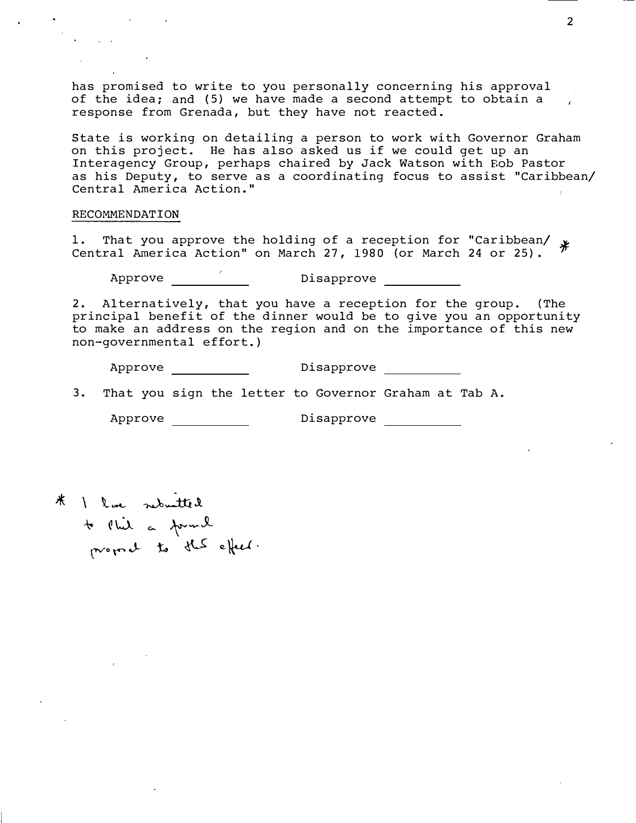has promised to write to you personally concerning his approval of the idea; and (5) we have made a second attempt to obtain a response from Grenada, but they have not reacted.

State is working on detailing a person to work with Governor Graham on this project. He has also asked us if we could get up an Interagency Group, perhaps chaired by Jack Watson with Bob Pastor as his Deputy, to serve as a coordinating focus to assist "Caribbean/ Central America Action."

### RECOMMENDATION

1. That you approve the holding of a reception for "Caribbean/  $*$ <br>Central America Action" on March 27, 1980 (or March 24 or 25).

Approve <u>equal and Disapprove</u>

2. Alternatively, that you have a reception for the group. (The principal benefit of the dinner would be to give you an opportunity to make an address on the region and on the importance of this new non-governmental effort.)

Approve Disapprove

3. That you sign the letter to Governor Graham at Tab A.

Approve and Disapprove and Disapprove

- $*$   $\lambda$  are not the d  $\star$  (bel a former proport to the effect.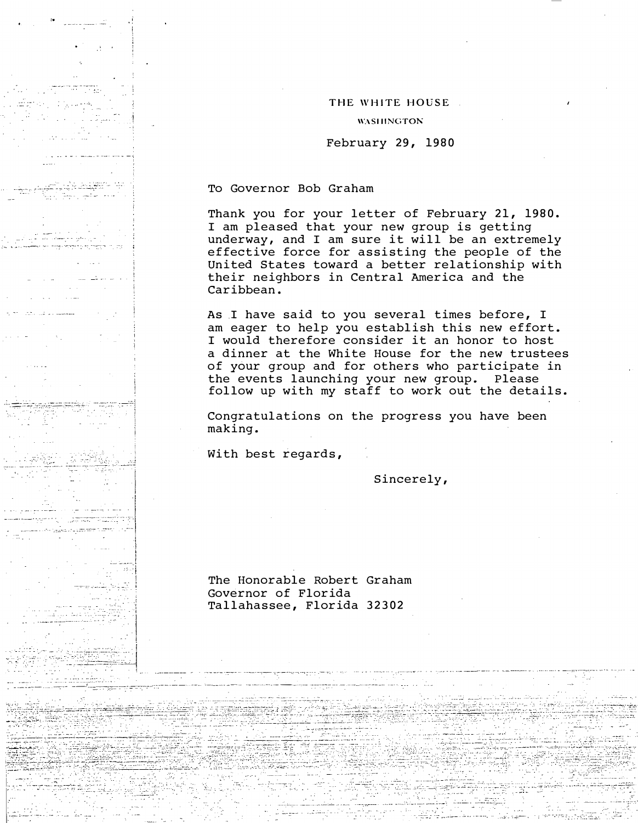## WASHINGTON

### February 29, 1980

## To Governor Bob Graham

,. .!

 $=$   $-$ - -

-<del>-</del> ..

- - - ---- -- ---- . . ----- - --

i ! -. ' '

!

- ------ ---- -�-· =-- ---�--�--�--- ---------------- ------- ---

·· · · - I . I  $\Big\}$ i

:\_,- :·�- ::::,.;-��\_:•�\_:�-��c:'ocJ

--:-·; \_\_\_\_\_ "7 \_\_ -- - -

!

Thank you for your letter of February 21, 1980. I am pleased that your new group is getting underway, and I am sure it will be an extremely effective force for assisting the people of the United States toward a better relationship with their neighbors in Central America and the Caribbean.

As .I have said to you several times before, I am eager to help you establish this new effort. I would therefore consider it an honor to host a dinner at the White House for the new trustees of your group and for others who participate in the events launching your new group. Please follow up with my staff to work out the details.

Congratulations on the progress you have been making.

With best regards,

- -

-- ----- ------------ - -- ----

Sincerely,

The Honorable Robert Graham Governor of Florida Tallahassee, Florida 32302

--------- ---------- ---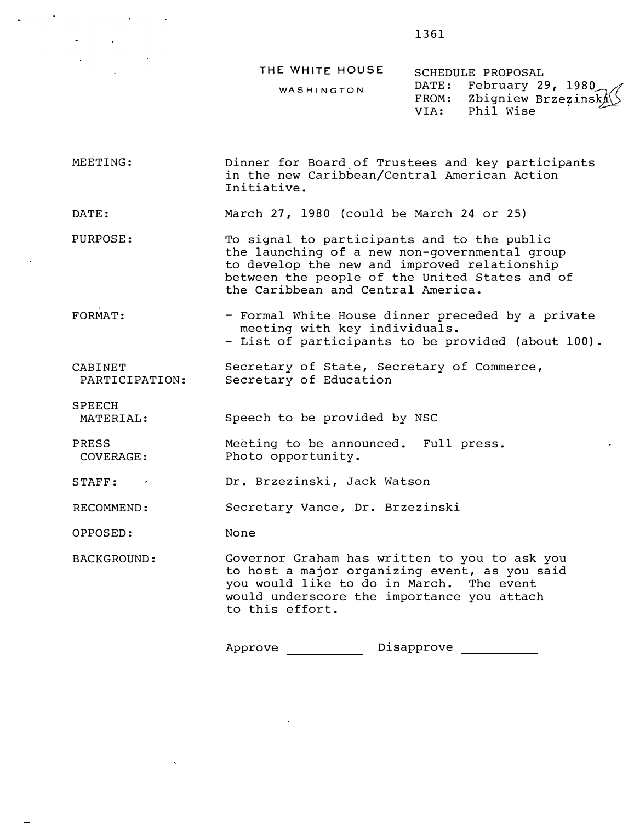1361

### THE WHITE HOUSE

|            | <u>DUMBDULLE INOI UDAL</u> |                                                      |  |
|------------|----------------------------|------------------------------------------------------|--|
| WASHINGTON |                            |                                                      |  |
|            |                            | DATE: February 29, 1980<br>FROM: Zbigniew BrzezinskA |  |
|            |                            | VIA: Phil Wise                                       |  |

SCHEDULE PROPOSAL

MEETING: Dinner for Board of Trustees and key participants in the new Caribbean/Central American Action Initiative.

DATE: March 27, 1980 (could be March 24 or 25)

PURPOSE: To signal to participants and to the public the launching of a new non-governmental group to develop the new and improved relationship between the people of the United States and of the Caribbean and Central America.

FORMAT: - Formal White House dinner preceded by a private meeting with key individuals. - List of participants to be provided (about 100) .

CABINET PARTICIPATION: Secretary of State, Secretary of Commerce, Secretary of Education

**SPEECH** 

 $\sigma_{\rm{eff}}=0.01$  and  $\sigma_{\rm{eff}}=0.01$ 

 $\mathcal{L}_{\text{max}}$  and  $\mathcal{L}_{\text{max}}$  and  $\mathcal{L}_{\text{max}}$ 

MATERIAL: Speech to be provided by NSC

PRESS COVERAGE: Meeting to be announced. Full press. Photo opportunity.

STAFF: Dr. Brzezinski, Jack Watson

RECOMMEND: Secretary Vance, Dr. Brzezinski

OPPOSED: None

BACKGROUND: Governor Graham has written to you to ask you to host a major organizing event, as you said you would like to do in March. The event would underscore the importance you attach to this effort.

Approve Disapprove Disapprove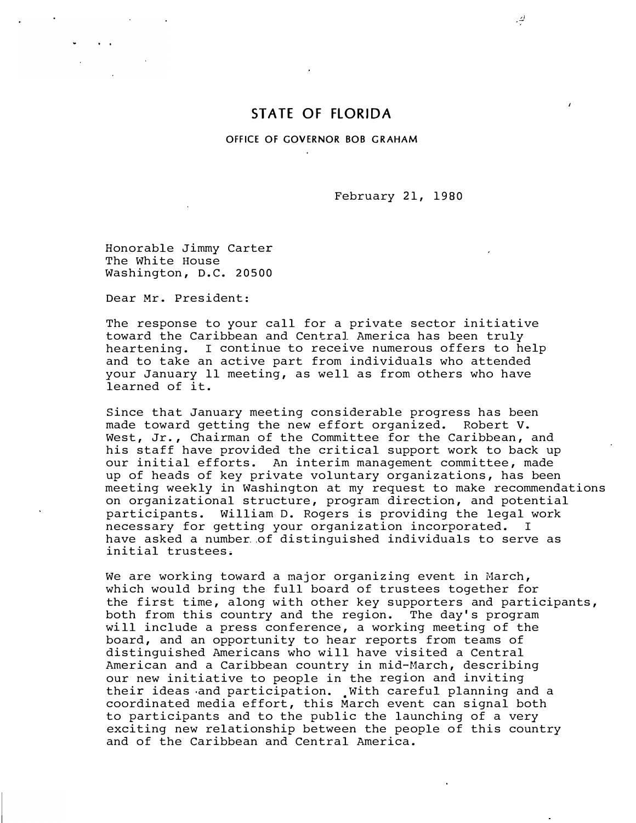## STATE OF FlORIDA

#### OFFICE OF GOVERNOR BOB GRAHAM

February 21, 1980

Honorable Jimmy Carter The White House Washington, D.C. 20500

Dear Mr. President:

The response to your call for a private sector initiative toward the Caribbean and Central America has been truly heartening. I continue to receive numerous offers to help and to take an active part from individuals who attended your January 11 meeting, as well as from others who have learned of it.

Since that January meeting considerable progress has been made toward getting the new effort organized. Robert V. West, Jr., Chairman of the Committee for the Caribbean, and his staff have provided the critical support work to back up our initial efforts. An interim management committee, made up of heads of key private voluntary organizations, has been meeting weekly in Washington at my request to make recommendations on organizational structure, program direction, and potential participants. William D. Rogers is providing the legal work necessary for getting your organization incorporated. I have asked a number of distinguished individuals to serve as initial trustees.

We are working toward a major organizing event in March, which would bring the full board of trustees together for the first time, along with other key supporters and participants, both from this country and the region. The day's program will include a press conference, a working meeting of the board, and an opportunity to hear reports from teams of distinguished Americans who will have visited a Central American and a Caribbean country in mid-March, describing our new initiative to people in the region and inviting their ideas and participation. With careful planning and a coordinated media effort, this March event can signal both to participants and to the public the launching of a very exciting new relationship between the people of this country and of the Caribbean and Central America.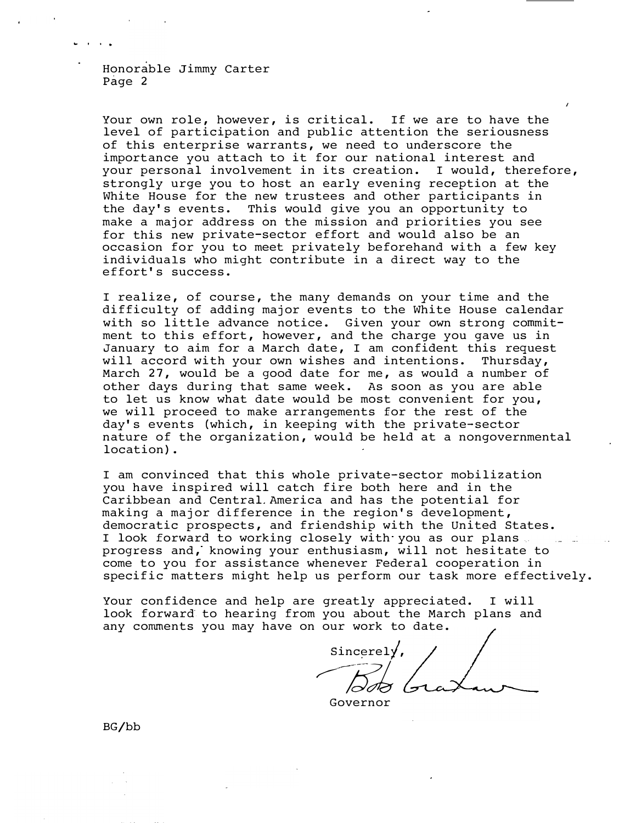Honorable Jimmy Carter Page 2

... I I •

Your own role, however, is critical. If we are to have the level of participation and public attention the seriousness of this enterprise warrants, we need to underscore the importance you attach to it for our national interest and your personal involvement in its creation. I would, therefore, strongly urge you to host an early evening reception at the White House for the new trustees and other participants in the day's events. This would give you an opportunity to make a major address on the mission and priorities you see for this new private-sector effort and would also be an occasion for you to meet privately beforehand with a few key individuals who might contribute in a direct way to the effort's success.

I realize, of course, the many demands on your time and the difficulty of adding major events to the White House calendar with so little advance notice. Given your own strong commitment to this effort, however, and the charge you gave us in January to aim for a March date, I am confident this request will accord with your own wishes and intentions. Thursday, March 27, would be a good date for me, as would a number of other days during that same week. As soon as you are able to let us know what date would be most convenient for you, we will proceed to make arrangements for the rest of the day's events (which, in keeping with the private-sector nature of the organization, would be held at a nongovernmental location).

I am convinced that this whole private-sector mobilization you have inspired will catch fire both here and in the Caribbean and Central America and has the potential for making a major difference in the region's development, democratic prospects, and friendship with the United States. I look forward to working closely with you as our plans. د<br>موارد الف progress and, knowing your enthusiasm, will not hesitate to come to you for assistance whenever Federal cooperation in specific matters might help us perform our task more effectively.

Your confidence and help are greatly appreciated. I will look forward to hearing from you about the March plans and any comments you may have on our work to date.

Sincerely  $\mathbb{Z}$ 

Governor

BG/bb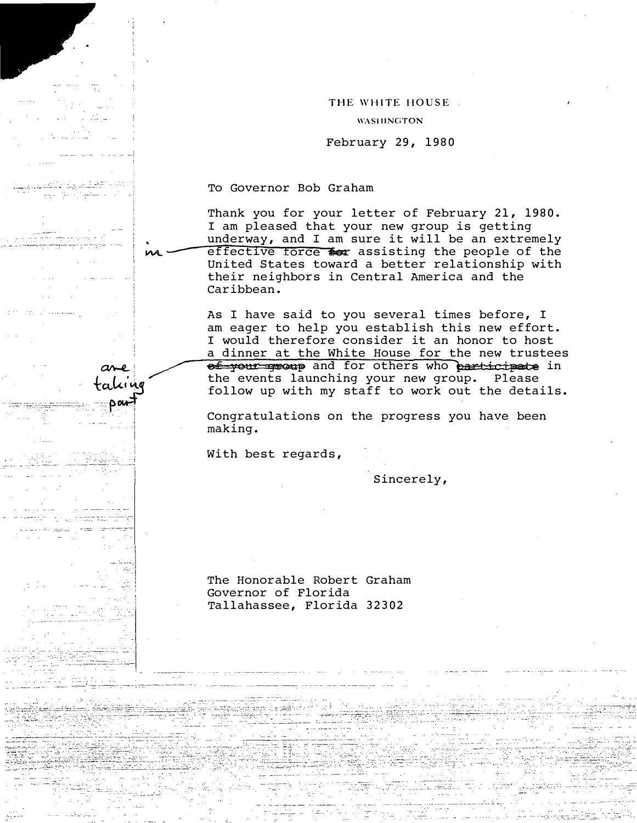### **WASHINGTON**

## February 29, 1980

To Governor Bob Graham

. - - ·

ransson<br>Scheinster

 $\cdot$  , - - - . . '

- ·:'-. -� . -�-- �:

- --

------ ----------·-- ·-

 $-1$ -

� ..

------- ----

-·-

-=-=-�- :--:·:;:-::\_-

----- -- --- -

·------

.<br>- - - - - - - -

-- --J·; . ''1

- - -

Thank you for your letter of February 21, 1980. I am pleased that your new group is getting underway, and I am sure it will be an extremely  $\widehat{effective}$  force  $\blacktriangleleft$  assisting the people of the United States toward a better relationship with their neighbors in Central America and the Caribbean.

As I have said to you several times before, I am eager to help you establish this new effort. I would therefore consider it an honor to host a dinner at the White House for the new trustees ef-your group and for others who participate in the events launching your new group. Please follow up with my staff to work out the details.

Congratulations on the progress you have been making.

With best regards,

Sincerely,

. :''-: ·:,

- ··::·�-. - . ' . . -

... - -  $- \bar{\nu}$  .  $\overline{\phantom{a}}$ \_ : ' \_:� - . . -

The Honorable Robert Graham Governor of Florida Tallahassee, Florida 32302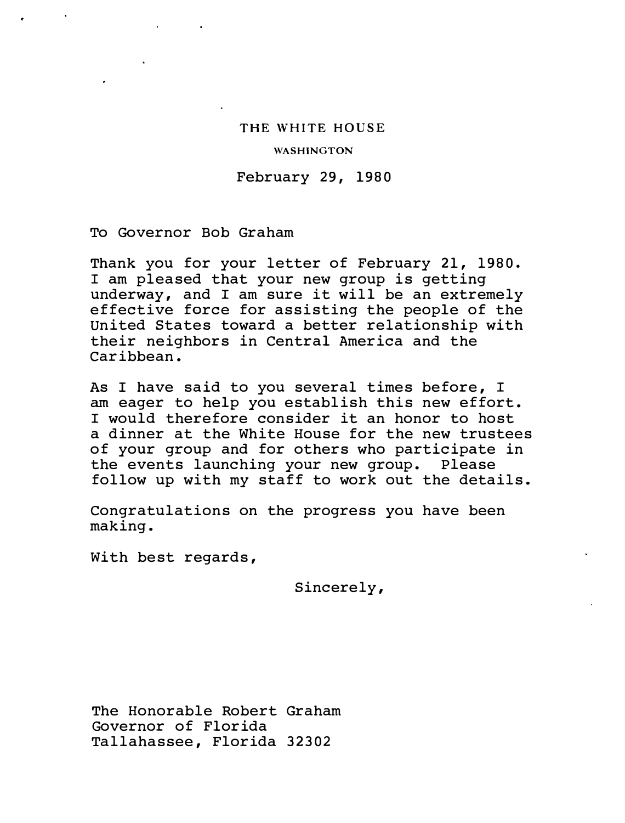#### WASHINGTON

February 29, 1980

To Governor Bob Graham

Thank you for your letter of February 21, 1980. I am pleased that your new group is getting underway, and I am sure it will be an extremely effective force for assisting the people of the United States toward a better relationship with their neighbors in Central America and the Caribbean.

As I have said to you several times before, I am eager to help you establish this new effort. I would therefore consider it an honor to host a dinner at the White House for the new trustees of your group and for others who participate in the events launching your new group. Please follow up with my staff to work out the details.

Congratulations on the progress you have been making.

With best regards,

Sincerely,

The Honorable Robert Graham Governor of Florida Tallahassee, Florida 32302